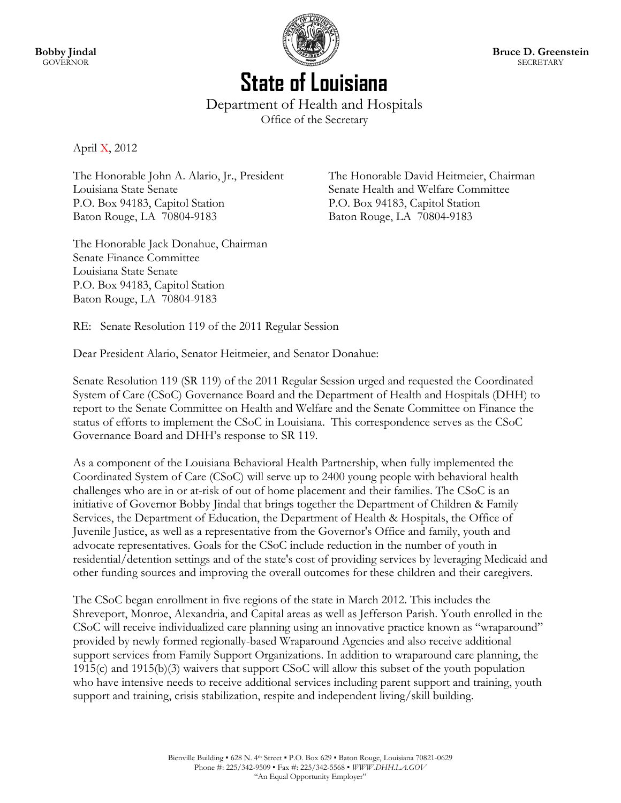

# **State of Louisiana** Department of Health and Hospitals

Office of the Secretary

April X, 2012

The Honorable John A. Alario, Jr., President The Honorable David Heitmeier, Chairman Louisiana State Senate Senate Health and Welfare Committee P.O. Box 94183, Capitol Station P.O. Box 94183, Capitol Station Baton Rouge, LA 70804-9183 Baton Rouge, LA 70804-9183

The Honorable Jack Donahue, Chairman Senate Finance Committee Louisiana State Senate P.O. Box 94183, Capitol Station Baton Rouge, LA 70804-9183

RE: Senate Resolution 119 of the 2011 Regular Session

Dear President Alario, Senator Heitmeier, and Senator Donahue:

Senate Resolution 119 (SR 119) of the 2011 Regular Session urged and requested the Coordinated System of Care (CSoC) Governance Board and the Department of Health and Hospitals (DHH) to report to the Senate Committee on Health and Welfare and the Senate Committee on Finance the status of efforts to implement the CSoC in Louisiana. This correspondence serves as the CSoC Governance Board and DHH's response to SR 119.

As a component of the Louisiana Behavioral Health Partnership, when fully implemented the Coordinated System of Care (CSoC) will serve up to 2400 young people with behavioral health challenges who are in or at-risk of out of home placement and their families. The CSoC is an initiative of Governor Bobby Jindal that brings together the Department of Children & Family Services, the Department of Education, the Department of Health & Hospitals, the Office of Juvenile Justice, as well as a representative from the Governor's Office and family, youth and advocate representatives. Goals for the CSoC include reduction in the number of youth in residential/detention settings and of the state's cost of providing services by leveraging Medicaid and other funding sources and improving the overall outcomes for these children and their caregivers.

The CSoC began enrollment in five regions of the state in March 2012. This includes the Shreveport, Monroe, Alexandria, and Capital areas as well as Jefferson Parish. Youth enrolled in the CSoC will receive individualized care planning using an innovative practice known as "wraparound" provided by newly formed regionally-based Wraparound Agencies and also receive additional support services from Family Support Organizations. In addition to wraparound care planning, the 1915(c) and 1915(b)(3) waivers that support CSoC will allow this subset of the youth population who have intensive needs to receive additional services including parent support and training, youth support and training, crisis stabilization, respite and independent living/skill building.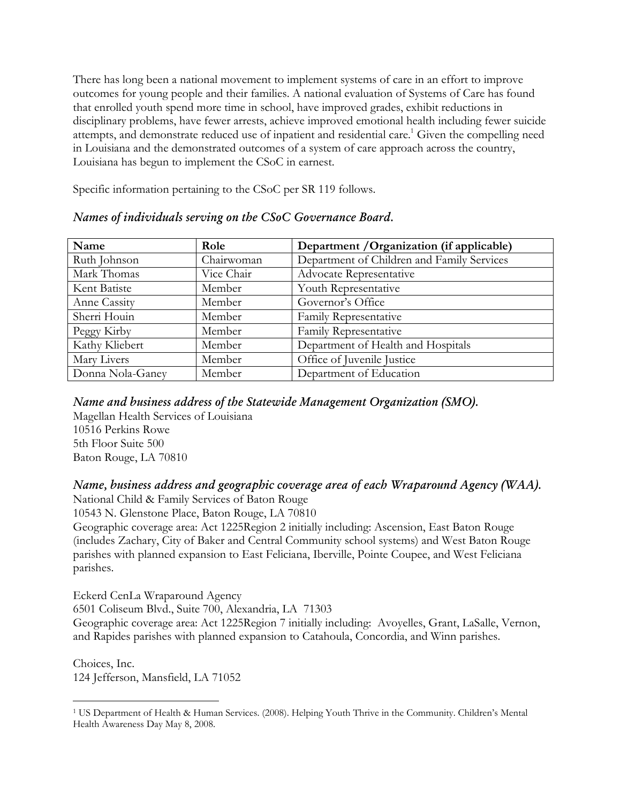There has long been a national movement to implement systems of care in an effort to improve outcomes for young people and their families. A national evaluation of Systems of Care has found that enrolled youth spend more time in school, have improved grades, exhibit reductions in disciplinary problems, have fewer arrests, achieve improved emotional health including fewer suicide attempts, and demonstrate reduced use of inpatient and residential care.<sup>1</sup> Given the compelling need in Louisiana and the demonstrated outcomes of a system of care approach across the country, Louisiana has begun to implement the CSoC in earnest.

Specific information pertaining to the CSoC per SR 119 follows.

| Name             | Role       | Department / Organization (if applicable)  |
|------------------|------------|--------------------------------------------|
| Ruth Johnson     | Chairwoman | Department of Children and Family Services |
| Mark Thomas      | Vice Chair | <b>Advocate Representative</b>             |
| Kent Batiste     | Member     | Youth Representative                       |
| Anne Cassity     | Member     | Governor's Office                          |
| Sherri Houin     | Member     | <b>Family Representative</b>               |
| Peggy Kirby      | Member     | Family Representative                      |
| Kathy Kliebert   | Member     | Department of Health and Hospitals         |
| Mary Livers      | Member     | Office of Juvenile Justice                 |
| Donna Nola-Ganey | Member     | Department of Education                    |

#### *Names of individuals serving on the CSoC Governance Board.*

### *Name and business address of the Statewide Management Organization (SMO).*

Magellan Health Services of Louisiana 10516 Perkins Rowe 5th Floor Suite 500 Baton Rouge, LA 70810

## *Name, business address and geographic coverage area of each Wraparound Agency (WAA).*

National Child & Family Services of Baton Rouge

10543 N. Glenstone Place, Baton Rouge, LA 70810

Geographic coverage area: Act 1225Region 2 initially including: Ascension, East Baton Rouge (includes Zachary, City of Baker and Central Community school systems) and West Baton Rouge parishes with planned expansion to East Feliciana, Iberville, Pointe Coupee, and West Feliciana parishes.

Eckerd CenLa Wraparound Agency

6501 Coliseum Blvd., Suite 700, Alexandria, LA 71303

Geographic coverage area: Act 1225Region 7 initially including: Avoyelles, Grant, LaSalle, Vernon, and Rapides parishes with planned expansion to Catahoula, Concordia, and Winn parishes.

Choices, Inc. 124 Jefferson, Mansfield, LA 71052

 $\overline{a}$ 

<sup>1</sup> US Department of Health & Human Services. (2008). Helping Youth Thrive in the Community. Children's Mental Health Awareness Day May 8, 2008.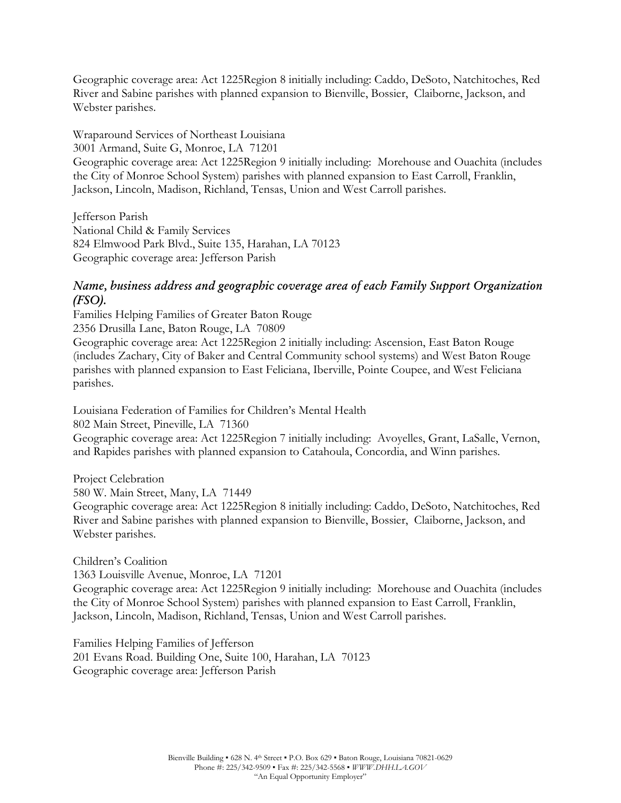Geographic coverage area: Act 1225Region 8 initially including: Caddo, DeSoto, Natchitoches, Red River and Sabine parishes with planned expansion to Bienville, Bossier, Claiborne, Jackson, and Webster parishes.

Wraparound Services of Northeast Louisiana 3001 Armand, Suite G, Monroe, LA 71201 Geographic coverage area: Act 1225Region 9 initially including: Morehouse and Ouachita (includes the City of Monroe School System) parishes with planned expansion to East Carroll, Franklin, Jackson, Lincoln, Madison, Richland, Tensas, Union and West Carroll parishes.

Jefferson Parish National Child & Family Services 824 Elmwood Park Blvd., Suite 135, Harahan, LA 70123 Geographic coverage area: Jefferson Parish

### *Name, business address and geographic coverage area of each Family Support Organization (FSO).*

Families Helping Families of Greater Baton Rouge 2356 Drusilla Lane, Baton Rouge, LA 70809 Geographic coverage area: Act 1225Region 2 initially including: Ascension, East Baton Rouge (includes Zachary, City of Baker and Central Community school systems) and West Baton Rouge parishes with planned expansion to East Feliciana, Iberville, Pointe Coupee, and West Feliciana parishes.

Louisiana Federation of Families for Children's Mental Health

802 Main Street, Pineville, LA 71360

Geographic coverage area: Act 1225Region 7 initially including: Avoyelles, Grant, LaSalle, Vernon, and Rapides parishes with planned expansion to Catahoula, Concordia, and Winn parishes.

Project Celebration 580 W. Main Street, Many, LA 71449 Geographic coverage area: Act 1225Region 8 initially including: Caddo, DeSoto, Natchitoches, Red River and Sabine parishes with planned expansion to Bienville, Bossier, Claiborne, Jackson, and Webster parishes.

Children's Coalition

1363 Louisville Avenue, Monroe, LA 71201 Geographic coverage area: Act 1225Region 9 initially including: Morehouse and Ouachita (includes the City of Monroe School System) parishes with planned expansion to East Carroll, Franklin, Jackson, Lincoln, Madison, Richland, Tensas, Union and West Carroll parishes.

Families Helping Families of Jefferson 201 Evans Road. Building One, Suite 100, Harahan, LA 70123 Geographic coverage area: Jefferson Parish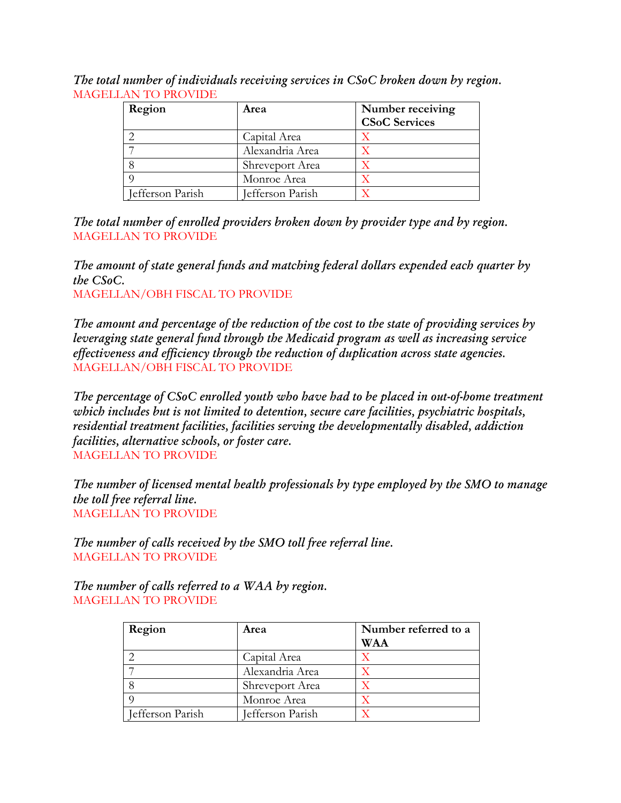*The total number of individuals receiving services in CSoC broken down by region.* MAGELLAN TO PROVIDE

| Region           | Area             | Number receiving     |
|------------------|------------------|----------------------|
|                  |                  | <b>CSoC Services</b> |
|                  | Capital Area     |                      |
|                  | Alexandria Area  |                      |
|                  | Shreveport Area  |                      |
|                  | Monroe Area      |                      |
| Jefferson Parish | Jefferson Parish |                      |

*The total number of enrolled providers broken down by provider type and by region.* MAGELLAN TO PROVIDE

*The amount of state general funds and matching federal dollars expended each quarter by the CSoC.*

MAGELLAN/OBH FISCAL TO PROVIDE

*The amount and percentage of the reduction of the cost to the state of providing services by leveraging state general fund through the Medicaid program as well as increasing service effectiveness and efficiency through the reduction of duplication across state agencies.* MAGELLAN/OBH FISCAL TO PROVIDE

*The percentage of CSoC enrolled youth who have had to be placed in out-of-home treatment which includes but is not limited to detention, secure care facilities, psychiatric hospitals, residential treatment facilities, facilities serving the developmentally disabled, addiction facilities, alternative schools, or foster care.* MAGELLAN TO PROVIDE

*The number of licensed mental health professionals by type employed by the SMO to manage the toll free referral line.* MAGELLAN TO PROVIDE

*The number of calls received by the SMO toll free referral line.* MAGELLAN TO PROVIDE

*The number of calls referred to a WAA by region.* MAGELLAN TO PROVIDE

| Region           | Area             | Number referred to a<br><b>WAA</b> |
|------------------|------------------|------------------------------------|
|                  | Capital Area     |                                    |
|                  | Alexandria Area  |                                    |
|                  | Shreveport Area  |                                    |
|                  | Monroe Area      |                                    |
| Jefferson Parish | Jefferson Parish |                                    |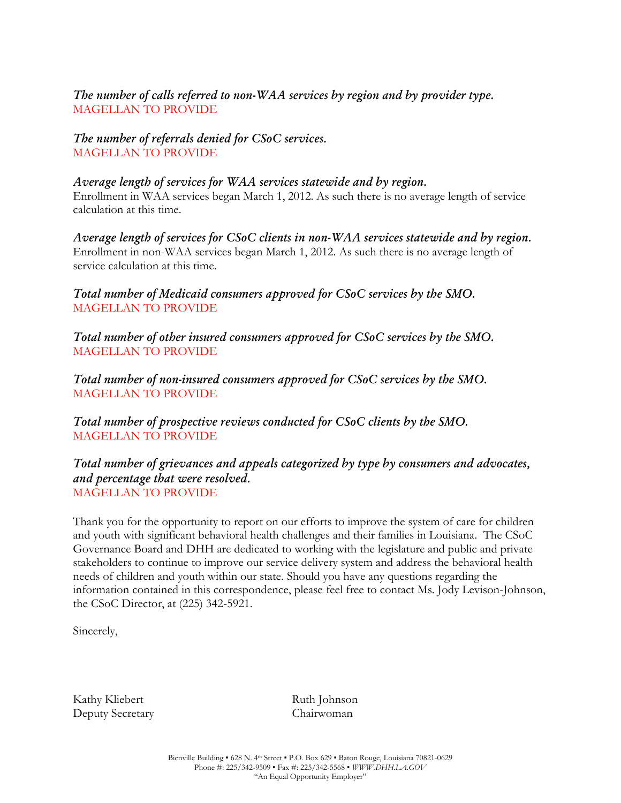### *The number of calls referred to non-WAA services by region and by provider type.* MAGELLAN TO PROVIDE

*The number of referrals denied for CSoC services.* MAGELLAN TO PROVIDE

#### *Average length of services for WAA services statewide and by region.*

Enrollment in WAA services began March 1, 2012. As such there is no average length of service calculation at this time.

*Average length of services for CSoC clients in non-WAA services statewide and by region.* Enrollment in non-WAA services began March 1, 2012. As such there is no average length of service calculation at this time.

*Total number of Medicaid consumers approved for CSoC services by the SMO.* MAGELLAN TO PROVIDE

*Total number of other insured consumers approved for CSoC services by the SMO.* MAGELLAN TO PROVIDE

*Total number of non-insured consumers approved for CSoC services by the SMO.* MAGELLAN TO PROVIDE

*Total number of prospective reviews conducted for CSoC clients by the SMO.* MAGELLAN TO PROVIDE

#### *Total number of grievances and appeals categorized by type by consumers and advocates, and percentage that were resolved.* MAGELLAN TO PROVIDE

Thank you for the opportunity to report on our efforts to improve the system of care for children and youth with significant behavioral health challenges and their families in Louisiana. The CSoC Governance Board and DHH are dedicated to working with the legislature and public and private stakeholders to continue to improve our service delivery system and address the behavioral health needs of children and youth within our state. Should you have any questions regarding the information contained in this correspondence, please feel free to contact Ms. Jody Levison-Johnson, the CSoC Director, at (225) 342-5921.

Sincerely,

Kathy Kliebert Ruth Johnson Deputy Secretary Chairwoman